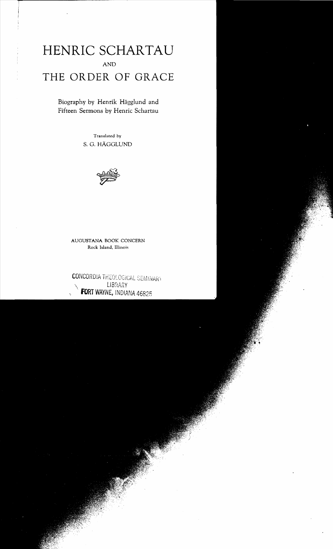# **HENRIC SCHARTAU** AND **THE ORDER OF GRACE**

Biography by Henrik Hagglund and Fifteen Sermons by Henric Schartau

> Translated by S. G. HAGGLUND



AUGUSTANA BOOK CONCERN Rock Island, Illinoi~

 $\mathsf{CONCORDIA}$  THEOLOGICAL SEMINARY **LIBRARY** FORT WAYNE, INDIANA 46825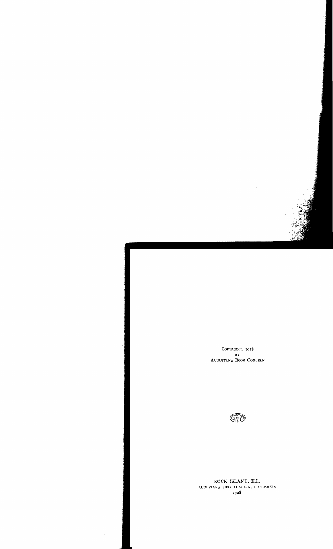COPYRIGHT, 1928 BY AUGUSTAN A BOOK CONCERN

the contract of the second



ROCK ISLAND, **ILL.**  AUGUSTANA BOOK CONCERN, PUBLISHERS 1928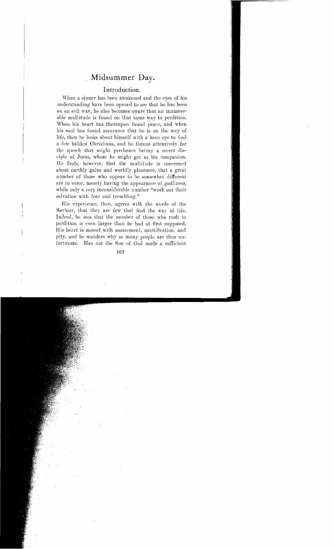# **Midsummer Day.**

## **Introduction.**

When a sinner has been awakened and the eyes of his understanding have been opened to see that he has been on an evil way, he also becomes aware that an innumerable multitude is found on that same way to perdition. When his heart has thereupon found peace, and when his soul has found assurance that he is on the way of life, then he looks about himself with a keen eve to find a few hidden Christians, and he listens attentively for the speech that might perchance betray a secret disciple of Jesus, whom he might get as his companion. He finds, however, that the multitnde is concerned about earthly gains and worldly pleasures, that a great number of those who appear to be somewhat different are in error, merely having the appearance of godliness, while only a very inconsiderable number "work out their salvation with fear and trembling."

His experience, then, agrees with the words of the Savionr, that they are few that find the way of life. Indeed, he sees that the number of those who rush to perdition is even larger than he had at first supposed. His heart is moved with amazement, mortifieation, and pity, and he wonders why so many people are thus unfortunate. Has not the Son of God made a suffieient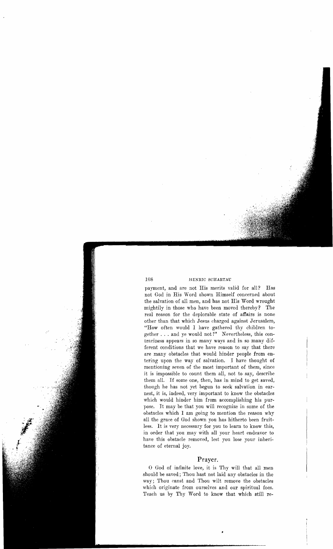payment, and are not His merits valid for all? Has not God in His Word shown Himself concerned about the salvation of all men, and has not His Word wrought mightily in those who have been moved thereby? The real reason for the deplorable state of affairs is none other than that which Jesus charged against Jerusalem, "How often would I have gathered thy children together ... and ye would not!" Nevertheless, this contrariness appears in so many ways and in so many different conditions that we have reason to say that there are many obstacles that would hinder people from entering upon the way of salvation. I have thought of mentioning seven of the most important of them, since it is impossible to count them all, not to say, describe them all. If some one, then, has in mind to get saved, though he has not yet begun to seek salvation in earnest, it is, indeed, very important to know the obstacles which would hinder him from accomplishing his purpose. It may be that you will recognize in some of the obstacles which I am going to mention the reason why all the grace of God shown you has hitherto been fruitless. It is very necessary for you to learn to know this, in order that you may with all your heart endeavor to have this obstacle removed, lest you lose your inheritance of eternal joy.

### **Prayer.**

o God of infinite love, it is 'I'hy will that all men should be saved; Thou hast not laid any obstacles in the way; Thou canst and Thou wilt remove the obstacles which originate from ourselves and our spiritual foes. Teach us by Thy Word to know that which still re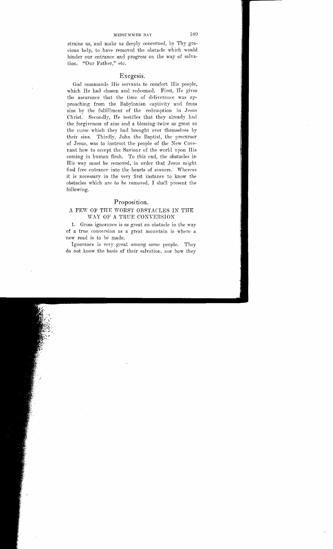strains us, and make us deeply concerned, by Thy gracious help, to have removed the obstacle which would hinder our entrance and progress on the way of salvation. "Our Father," etc.

#### Exegesis.

God commands His servants to comfort His people, which He had chosen and redeemed. First, He gives the assurance that the time of deliverance was approaching from the Babylonian captivity and from sins by the fulfillment of the redemption in Jesus Christ. Secondly, He testifies that they already had the forgiveness of sins and a blessing twice as great as the curse which they had brought over themselves by their sins. Thirdly, John the Baptist, the precursor of Jesus, was to instruct the people of the New Covenant how to accept the Saviour of the world upon His coming in human flesh. To this end, the obstacles in His way must be removed, in order that Jesus might find free entrance into the hearts of sinners. Whereas it is necessary in the very first instance to know the obstacles which are to be removed, I shall present the following.

#### Proposition.

#### A FEW OF THE WORST OBSTACLES IN THE WAY OF A TRUE CONVERSION

1. Gross ignorance is as great an obstacle in the way of a true conversion as a great mountain is where a new road is to be made.

Ignorance is very great among some people. They do not know the basis of their salvation, nor how they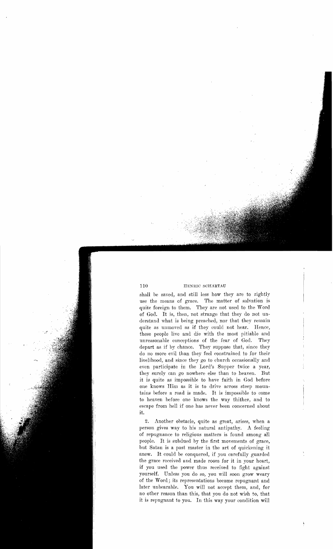shall be saved, and still less how they are to rightly use the means of grace. The matter of salvation is quite foreign to them. They are not used to the Word of God. It is, then, not strange that they do not understand what is being preached, nor that they remain<br>quite as unmoved as if they could not hear. Hence, quite as unmoved as if they could not hear. these people live and die with the most pitiable and unreasonable conceptions of the fear of God. They unreasonable conceptions of the fear of God. depart as if by chance. They suppose that, since they do no more evil than they feel constrained to for their livelihood, and since they go to church occasionally and even participate in the Lord's Supper twice a year, they surely can go nowhere else than to heaven. But it is quite as impossible to have faith in God before one knows Him as it is to drive across steep mountains before a road is made. It is impossible to come to heaven before one knows the way thither, and to escape from hell if one has never been concerned about it.

2. Another obstacle, quite as great, arises, when a person gives way to his natural antipathy. A feeling of repugnance to religious matters is found among all people. It is subdued by the first movements of grace, but Satan is a past master in the art of quickening it anew. It could be conquered, if you carefully guarded the grace received and made room for it in yonr heart, if you used the power thus received to fight against yourself. Unless you do so, you will soon grow weary of the Word; its representations become repugnant and later unbearable. You will not accept them, and, for no other reason than this, that you do not wish to, that it is repugnant to you. In this way your condition will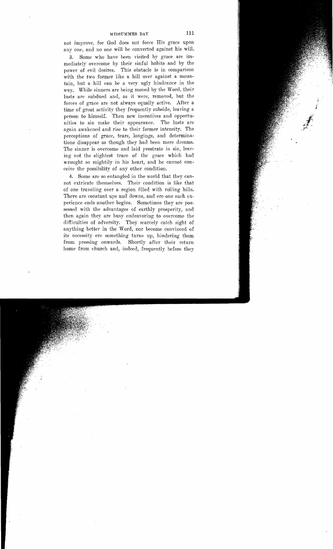not improve, for God does not force His grace upon anyone, and no one will be converted against his will.

3. Some who have been visited by grace are immediately overcome by their sinful habits and by the power of evil desires. This obstacle is in comparison with the two former like a hill over against a mountain, but a hill can be a very ugly hindrance in the way. While sinners are being moved by the Word, their lusts are subdued and, as it were, removed, but the forces of grace are not always equally active. After a time of great activity they frequently subside, leaving a person to himself. Then new incentives and opportunities to sin make their appearance. The lusts are again awakened and rise to their former intensity. The perceptions of grace, tears, longings, and determinations disappear as though they had been mere dreams. The sinner is overcome and laid prostrate in sin, leaving not the slightest trace of the grace which had wrought so mightily in his heart, and he cannot conceive the possibility of any other condition.

4. Some are so entangled in the world that they cannot extricate themselves. Their condition is like that of one traveling over a region filled with rolling hills. There are constant ups and downs, and ere one such experience ends another begins. Sometimes they are possessed with the advantages of earthly prosperity, and then again they are busy endeavoring to overcome the difficulties of adversity. They scarcely catch sight of anything better in the Word, nor become convinced of its necessity ere something turns up, hindering them from pressing onwards. Shortly after their return home from church and, indeed, frequently before they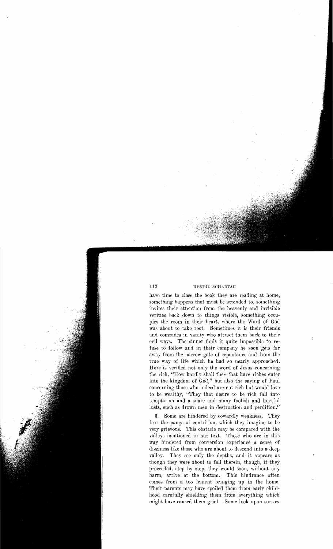have time to close the book they are reading at home, something happens that must be attended to, something invites their attention from the heavenly and invisible verities back down to things visible, something occupies the room in their heart, where the Word of God was about to take root. Sometimes it is their friends and comrades in vanity who attract them back to their evil ways. The sinner finds it quite impossible to refuse to follow and in their company he soon gets far away from the narrow gate of repentance and from the true way of life which he had so nearly approached. Here is verificd not only the word of Jcsus concerning the rich, "How hardly shall they that have riches enter into the kingdom of God," but also the saying of Paul concerning those who indeed are not rich but would love to be wealthy, "They that desire to be rich fall into temptation and a snare and many foolish and hurtful lusts, such as drown men in destruction and perdition."

5. Some are hindered by cowardly weakness. They fear the pangs of contrition, which they imagine to be very grievous. This obstacle may be compared with the valleys mentioned in our text. Those who are in this way hindered from conversion experience a sense of dizziness like those who are about to descend into a deep valley. They see only the depths, and it appears as though they were about to fall therein, though, if they proceeded, step by step, they would soon, without any harm, arrive at the bottom. This hindrance often comes from a too lenient bringing up in the home. Their parents may have spoiled them from early childhood carefully shielding them from everything which might have caused them grief. Some look upon sorrow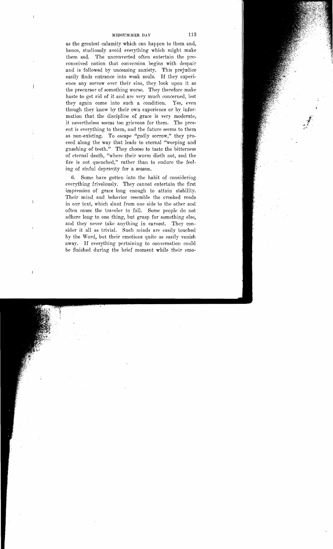as the greatest calamity which can happen to them and, hence, studionsly avoid everything which might make them sad. The unconverted often entertain the preconceived notion that conversion begins with despair and is followed by unceasing anxiety. This prejudice easily finds entrance into weak souls. If they experience any sorrow over their sins, they look upon it as the precursor of something worse. They therefore make haste to get rid of it and are very much concerned, lest<br>they again come into such a condition. Yes, even they again come into such a condition. though they know by their own experience or by information that the discipline of grace is very moderate, it nevertheless seems too grievous for them. The present is everything to them, and the future seems to them as non-existing. To escape "godly sorrow," they proceed along the way that leads to eternal "weeping and gnashing of teeth." They choose to taste the bitterness of eternal death, "where their worm dieth not, and the fire is not quenched;' rather than to endure the feeling of sinful depravity for a season.

6. Some have gotten into the habit of considering everything frivolously. They cannot entertain the first impression of grace long enough to attain stability. Their mind and behavior resemble the crooked roads in our text, which slant from one side to the other and often cause the traveler to fall. Some people do not adhere long to one thing, but grasp for something else, and they never take anything in earnest. They consider it all as trivial. Such minds are easily touched by the Word, but their emotions quite as easily vanish away. If everything pertaining to conversation could be finished during the brief moment while their emo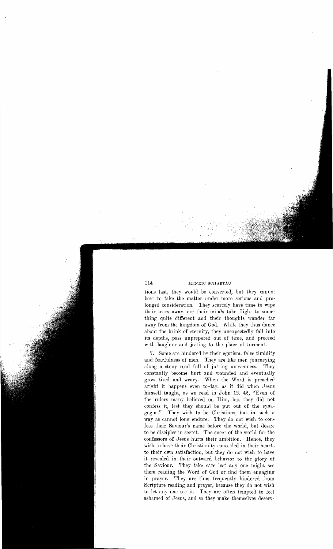tions last, they would be converted, but they cannot bear to take the matter under more serious and prolonged consideration. They scarcely have time to wipe their tears away, ere their minds take flight to something quite different and their thoughts wander far away from the kingdom of God. While they thus dance about the brink of eternity, they unexpectedly fall into its depths, pass unprepared out of time, and proceed with laughter and jesting to the place of torment.

7. Some are hindered by their egotism, false timidity and fearfulness of men. They are like men journeying along a stony road full of jutting unevenness. They constantly become hurt and wounded and eventually grow tired and weary. When the Word is preached aright it happens even to-day, as it did when Jesus himself taught, as we read in John 12. 42, "Even of the rulers many believed on Him, but they did not confess it, lest they should be put out of the synagogue." 'l'hey wish to be Christians, but in such a way as cannot long endure. They do not wish to confess their Saviour's name before the world, but desire to be disciples in secret. The sneer of the world for the confessors of Jesus hurts their ambition. Hence, they wish to have their Christianity concealed in their hearts to their own satisfaction, but they do not wish to have it revealed in their outward behavior to the glory of the Saviour. They take care lest any one might see them reading the Word of God or find them engaging in prayer. They are thus frequently hindered from Scripture reading and prayer, because they do not wish to let anyone see it. They are often tempted to feel ashamed of Jesus, and so they make themselves deserv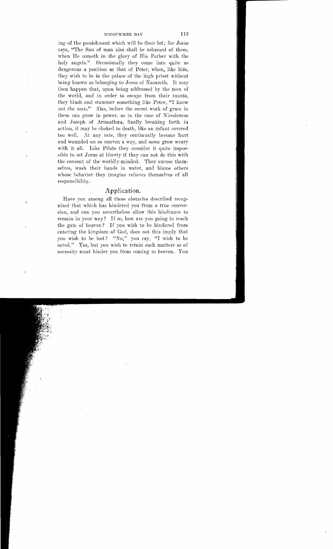ing of the punishment which will be their lot; for Jesus says, "The Son of man also shall be ashamed of them, when He cometh in the glory of His Father with the holy angels." Occasionally they come into quite as dangerous a position as that of Peter, when, like him, they wish to be in the palace of the high priest without being known as belonging to Jesus of Nazareth. It may then happen that, upon being addressed by the men of the world, and in order to escape from their taunts, they blush and stammer something like Peter, "I know not the man." Alas, before the secret work of grace in them can grow in power, as in the case of Nicodemus and Joseph of Arimathæa, finally breaking forth in action, it may be choked to death, like an infant covered too well. At any rate, they continually become hurt and wounded on so uneven a way, and some grow weary with it all. Like Pilate they consider it quite impossible to set Jesus at liberty if they can not do this with the consent of the worldly-minded. They excuse themselves, wash their hands in water, and blame others whose behavior they imagine relieves themselves of all responsibility.

#### Application.

Have yon among all these obstacles described recognized that which has hindered you from a true conversion, and can you nevertheless allow this hindrance to remain in your way? If so, how are you going to reach the gate of heaven? If you wish to be hindered from entering the kingdom of God, does not this imply that you wish to be lost? "No," you say, "I wish to be saved." Yes, but you wish to retain such matters as of necessity must hinder you from coming to heaven. You